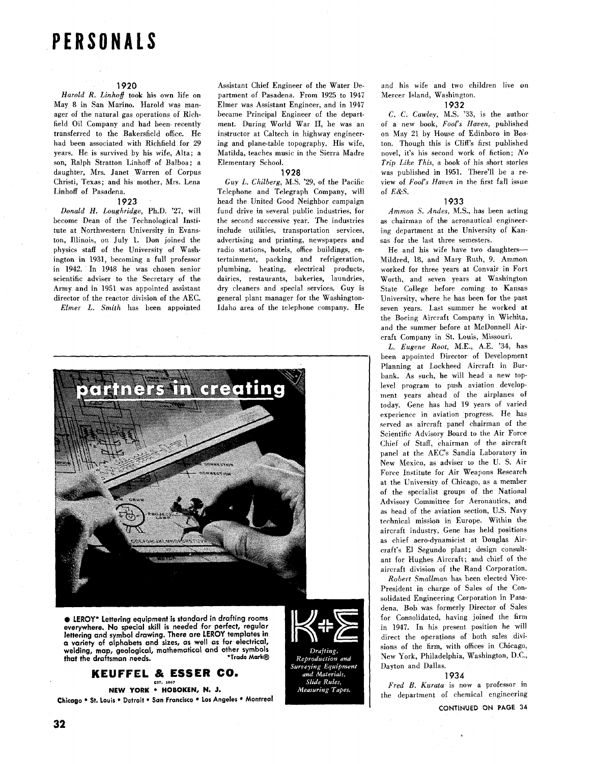# **PERSONALS**

### **1920**

Harold R, Linhoff took his own life on May 8 in San Marino. Harold was manager of the natural gas operations of Richfield Oil Company and had been recently transferred to the Bakersfield office. He had been associated with Richfield for 29 years. He is survived by his wife, Alta; a son, Ralph Stratton Linhoff of Balboa; a daughter, Mrs. Janet Warren of Corpus Christi, Texas; and his mother, Mrs. Lena Linhoff of Pasadena.

### 1923

Donald H, Loughridge, Ph.D. '27, will become Dean of the Technological Institute at Northwestern University in Evanston, Illinois, on July 1. Don joined the physics staff of the University of Washington in 1931, becoming a full professor in 1942. In 1948 he was chosen senior scientific adviser to the Secretary of the Army and in 1951 was appointed assistant director of the reactor division of the AEC. Elmer L. Smith has been appointed Assistant Chief Engineer of the Water Department of Pasadena. From 1925 to 1947 Elmer was Assistant Engineer, and in 1947 became Principal Engineer of the department. During World War 11, he was an instructor at Caltech in highway engineering and plane-table topography. His wife, Matilda, teaches music in the Sierra Madre Elementary School.

### **1928**

Guy L. Chilberg, M.S. '29, of the Pacific Telephone and Telegraph Company, will head the United Good Neighbor campaign fund drive in several public industries, for the second successive year. The industries include utilities, transportation services, advertising and printing, newspapers and radio stations, hotels, office buildings, entertainment, packing and refrigeration, plumbing, heating, electrical products, dairies, restaurants, bakeries, laundries, dry cleaners and special services. Guy is general plant manager for the Washington-Idaho area of the telephone company. He



• LEROY\* Lettering equipment is standard in drafting rooms everywhere. No special skill is needed for perfect, regular lettering and symbol drawing. There are LEROY templates in a variety of alphabets and sizes, as well as for electrical, welding, map, geological, mathematical and other symbols \*Trade Mark® that the draftsman needs.

## KEUFFEL & ESSER CO.

## NEW YORK . HOBOKEN, N. J.

Chicago . St. Louis . Detroit . San Francisco . Los Angeles . Montreal



and his wife and two children live on Mercer Island, Washington.

### 1932

C. C. Cawley, M.S. **'33,** is the author of a new book, Fool's Haven, published on May 21 by House of Edinboro in Boston. Though this is Cliff's first published novel, it's his second work of fiction; No Trip **Like** This, a book of his short stories was published in 1951. There'll be a review of Fool's Haven in the first fall issue of *E&S.* 

### 1933

Ammon **S.** Andes. M.S., has been acting as chairman of the aeronautical engineering department at the University of Kansas for the last three semesters.

He and his wife have two daughters-Mildred, 18, and Mary Ruth, 9. Ammon worked for three years at Convair in Fort Worth, and seven years at Washington State College before coming to Kansas University, where he has been for the **past**  seven years. Last summer he worked at the Boeing Aircraft Company in Wichita, and the summer before at McDonnell Aircraft Company in St. Louis, Missouri.

L. Eugene Root, M.E., A.E. **'34,** has been appointed Director of Development Planning at Lockheed Aircraft in Burhank. As such, he will head a new toplevel program to push aviation development years ahead of the airplanes of today. Gene has had 19 years of varied experience in aviation progress. He has served as aircraft panel chairman of the Scientific Advisory Board to the Air Force Chief of Staff, chairman of the aircraft panel at the AEC's Sandia Laboratory in New Mexico, as adviser to the U. S. Air Force Institute for Air Weapons Research at the University of Chicago, as a member of the specialist groups of the National Advisory Committee for Aeronautics, and as head of the aviation section, U.S. Navy technical mission in Europe, Within the aircraft industry, Gene has held positions as chief aero-dynamicist at Douglas Aircraft's El Segundo plant; design consultant for Hughes Aircraft; and chief of the aircraft division of the Rand Corporation.

Robert Smullman has been elected Vice-President in charge of Sales of the Consolidated Engineering Corporation in Pasadena. Bob was formerly Director of Sales for Consolidated, having joined the firm in 1947. In his present position he will direct the operations of both sales divisions of the firm, with offices in Chicago, New York, Philadelphia, Washington, D.C., Dayton and Dallas.

### **1934**

Fred B. Kurata is now a professor in the department of chemical engineering

CONTINUED ON **PAGE 34**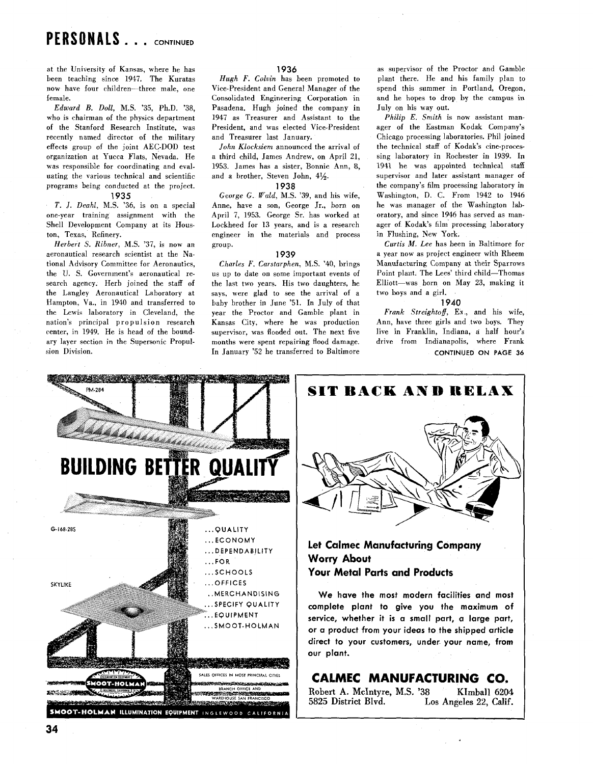# PERSONALS . . . CONTINUED

at the University of Kansas, where he has been teaching since **1947.** The Kuratas now have four children-three male, one female.

Edward B. Doll, M.S. **'35,** Ph.D. **'38,**  who is chairman of the physics department of the Stanford Research Institute, was recently named director of the military effects group of the joint AEC-DOD test organization at Yucca Flats, Nevada. He was responsible for coordinating and evaluating the various technical and scientific programs being conducted at the project. **1935** 

T. J. Deahl, M.S. **'36,** is on a special one-year training assignment with the Shell Development Company at its Houston, Texas, Refinery.

Herbert **S.** Ribner, M.S. **'37,** is now an aeronautical research scientist at the National Advisory Committee for Aeronautics, the U. S. Government's aeronautical research agency. Herb joined the staff of the Langley Aeronautical Laboratory at Hampton, Va., in **1940** and transferred to the Lewis laboratory in Cleveland, the nation's principal propulsion research center, in **1949.** He is head of the boundary layer section in the Supersonic Propulsion Division.

### *1936*

Hugh F. Colvin has been promoted to Vice-president and General Manager of the Consolidated Engineering Corporation in Pasadena. Hugh joined the company in **1947** as Treasurer and Assistant to the President, and was elected Vice-President and Treasurer last January.

John Klocksiem announced the arrival of a third child, James Andrew, on April **21, 1953.** James has a sister, Bonnie Ann, 8, and a brother, Steven John, **4%.** 

### **1938**

George G. *Wald,* M.S. **'39,** and his wife, Anne, have a son, George Jr., born on April 7, **1953.** George Sr. has worked at Lockheed for **13** years, and is a research engineer in the materials and process group.

### **1939**

Charles F. Carstarphen, M.S. **'40,** brings us up to date on some important events of the last two years. His two daughters, he says, were glad to see the arrival of a baby brother in June **'51.** In July of that year the Proctor and Gamble plant in Kansas City, where he was production supervisor, was flooded out. The next five months were spent repairing flood damage. In January **'52** he transferred to Baltimore as supervisor of the Proctor and Gamble plant there. He and his family plan to spend this summer in Portland, Oregon, and he hopes to drop by the campus in July on his way out.

Philip E. Smith is now assistant manager of the Eastman Kodak Company's Chicago processing laboratories. Phil joined the technical staff of Kodak's cine-processing laboratory in Rochester in **1939.** In **1941** he was appointed technical staff supervisor and later assistant manager of the company's film processing laboratory in Washington, D. C. From **1942** to **1946**  he was manager of the Washington laboratory, and since **1946** has served as manager of Kodak's film processing laboratory in Flushing, New York.

Curtis *M.* Lee has been in Baltimore for a year now as project engineer with Rheem Manufacturing Company at their Sparrows Point plant. The Lees' third child-Thomas Elliott-was born on May **23,** making it two boys and a girl.

### **1940**

Frank Streightoff, Ex., and his wife, Ann, have three girls and two boys. They live in Franklin, Indiana, a half hour's drive from Indianapolis, where Frank **CONTINUED ON PAGE 36** 

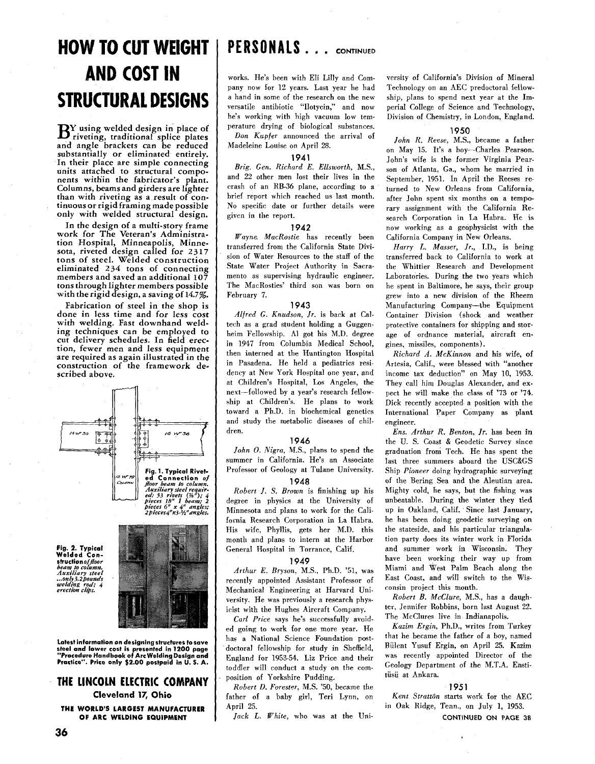# **HOW TO CUT WEIGHT | PERSONALS . . . continued AND COST IN STRUCTURAL DESIGNS**

**B Y using welded design in place of riveting, traditional splice plates and angle brackets can be reduced substantially or eliminated entirely. In their place are simple connecting units attached to structural components within the fabricator's plant. Columns, beams and girders are lighter than with riveting as a result of continuous or rigid framing made possible only with welded structural design.** 

**In the design of a multi-story frame work for The Veteran's Administration Hospital, Minneapolis, Minnesota, riveted design called for 23 17 tons of steel. Welded construction eliminated 234 tons of connecting members and saved an additional 107 tons through lighter members possible with the rigid design, a saving of 14.7%.** 

**Fabrication of steel in the shop is done in less time and for less cost with welding. Fast downhand welding techniques can be employed to cut delivery schedules. In field erection, fewer men and less equipment are required as again illustrated in the construction of the framework described above.** 



**Fig. 2. Typical Welded Constructionof** *floor welding rod' 4 erection* **clip:** 



**Latest information on designing structures to save steel and lower cost is presented in 1200 page "Procedure Handbook of Arcwelding Design and Practice". Price only \$2.00 postpaid in U. S. A.** 

### **THE LINCOLN ELECTRIC COMPANY**

**Cleveland 17, Ohio** 

**THE WORLD'S LARGEST MANUFACTURER OF ARC WELDING EQUIPMENT** 

works. He's been with Eli Lilly and Company now for **12** years. Last year he had a hand in some of the research on the new versatile antibiotic "Ilotycin," and now he's working with high vacuum low temperature drying of biological substances.

Don Kupfer announced the arrival of Madeleine Louise on April 28.

### **1941**

Brig. Gen. Richard E. Ellsworth, M.S., and 22 other men lost their lives in the crash of an RB-36 plane, according to a brief report which reached us last month. No specific date or further details were given in the report.

### **1942**

Wayne, MacRostie has recently been transferred from the California State Division of Water Resources to the staff of the State Water Project Authority in Sacramento as supervising hydraulic engineer. The MacRosties' third son was born on February 7.

### **1943**

Alfred G. Knudson, Jr. is back at Caltech as a grad student holding a Guggenheim Fellowship. A1 got his M.D. degree in **1947** from Columbia Medical School, then interned at the Huntington Hospital in Pasadena. He held a pediatrics residency at New York Hospital one year, and at Children's Hospital, Los Angeles, the next-followed by a year's research fellowship at Children's. He plans to work toward a Ph.D. in biochemical genetics and study the metabolic diseases of children.

### **1946**

John O. Nigra, M.S., plans to spend the summer in California. He's an Associate Professor of Geology at Tulane University.

### **1948**

Robert J. S. Brown is finishing up his degree in physics at the University of Minnesota and plans to work for the California Research Corporation in La Habra. His wife, Phyllis, gets her M.D. this month and plans to intern at the Harbor General Hospital in Torrance, Calif.

### **1949**

Arthur E. Bryson, M.S., Ph.D. **'51,** was recently appointed Assistant Professor of Mechanical Engineering at Harvard University. He was previously a research physicist with the Hughes Aircraft Company.

Carl Price says he's successfully avoided going to work for one more year. He has a National Science Foundation postdoctoral fellowship for study in Sheffield, England for **1953-54.** Liz Price and their toddler will conduct a study on the composition of Yorkshire Pudding.

Robert D. Forester, M.S. '50, became the father of a baby girl, Teri Lynn, on April 25.

Jack L. White, who was at the Uni-

versity of California's Division of Mineral Technology on an AEC predoctoral fellowship, plans to spend next year at the Imperial College of Science and Technology, Division of Chemistry, in London, England.

### **1950**

John R. Reese. M.S.. became a father on May **15.** It's a boy-Charles Pearson. John's wife is the former Virginia Pearson of Atlanta, Ga., whom he married in September, **1951.** In April the Reeses returned to New Orleans from California, after John spent six months on a temporary assignment with the California Research Corporation in La Habra. He is now working as a geophysicist with the California Company in New Orleans.

Harry L. Masser, Jr., I.D., is being transferred back to California to work at the Whittier Research and Development Laboratories. During the two years which he spent in Baltimore, he says, their group grew into a new division of the Rheem Manufacturing Company-the Equipment Container Division (shock and weather protective containers for shipping and **stor**age of ordnance material, aircraft engines, missiles, components).

Richard *A.* McKinnon and his wife, of Artesia, Calif., were blessed with "another income tax deduction" on May 10, **1953.**  They call him Douglas Alexander, and expect he will make the class of '73 or '74. Dick recently accepted a position with the International Paper Company as plant engineer.

Ens. Arthur *R.* Benton, Jr. has been in the U. S. Coast & Geodetic Survey since graduation from Tech. He has spent the last three summers aboard the USC&GS Ship Pioneer doing hydrographic surveying of the Bering Sea and the Aleutian area. Mighty cold, he says, but the fishing was unbeatable. During the winter they tied up in Oakland, Calif. Since last January, he has been doing geodetic surveying on the stateside, and his particular triangulation party does its winter work in Florida and summer work in Wisconsin. They have been working their way up from Miami and West Palm Beach along the East Coast, and will switch to the Wisconsin project this month.

Robert B. McClure, M.S., has a daughter, Jennifer Rohbins, born last August 22. The McClures live in Indianapolis.

Kazim Ergin, Ph.D., writes from Turkey that he became the father of a boy, named Biilent Yusuf Ergin, on April 25. Kazim was recently appointed Director of the Geology Department of the M.T.A. Enstitiisii at Ankara.

### **1951**

Kent Stratton starts work for the AEC in Oak Ridge, Tenn., on July 1, **1953.** 

CONTINUED ON **PAGE** 38